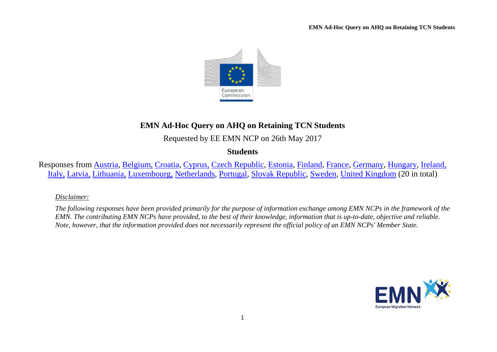

# **EMN Ad-Hoc Query on AHQ on Retaining TCN Students**

Requested by EE EMN NCP on 26th May 2017

**Students**

Responses from [Austria,](#page-2-0) [Belgium,](#page-2-1) [Croatia,](#page-4-0) [Cyprus,](#page-4-1) [Czech Republic,](#page-5-0) [Estonia,](#page-6-0) [Finland,](#page-10-0) [France,](#page-11-0) [Germany,](#page-13-0) [Hungary,](#page-14-0) [Ireland,](#page-16-0) [Italy,](#page-17-0) [Latvia,](#page-19-0) [Lithuania,](#page-19-1) [Luxembourg,](#page-20-0) [Netherlands,](#page-22-0) [Portugal,](#page-23-0) [Slovak Republic,](#page-23-1) [Sweden,](#page-24-0) [United Kingdom](#page-26-0) (20 in total)

## *Disclaimer:*

*The following responses have been provided primarily for the purpose of information exchange among EMN NCPs in the framework of the EMN. The contributing EMN NCPs have provided, to the best of their knowledge, information that is up-to-date, objective and reliable. Note, however, that the information provided does not necessarily represent the official policy of an EMN NCPs' Member State.*

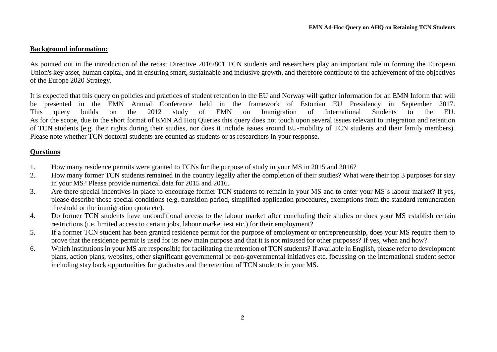#### **Background information:**

As pointed out in the introduction of the recast Directive 2016/801 TCN students and researchers play an important role in forming the European Union's key asset, human capital, and in ensuring smart, sustainable and inclusive growth, and therefore contribute to the achievement of the objectives of the Europe 2020 Strategy.

It is expected that this query on policies and practices of student retention in the EU and Norway will gather information for an EMN Inform that will be presented in the EMN Annual Conference held in the framework of Estonian EU Presidency in September 2017. This query builds on the 2012 study of EMN on Immigration of International Students to the EU. As for the scope, due to the short format of EMN Ad Hoq Queries this query does not touch upon several issues relevant to integration and retention of TCN students (e.g. their rights during their studies, nor does it include issues around EU-mobility of TCN students and their family members). Please note whether TCN doctoral students are counted as students or as researchers in your response.

## **Questions**

- 1. How many residence permits were granted to TCNs for the purpose of study in your MS in 2015 and 2016?
- 2. How many former TCN students remained in the country legally after the completion of their studies? What were their top 3 purposes for stay in your MS? Please provide numerical data for 2015 and 2016.
- 3. Are there special incentives in place to encourage former TCN students to remain in your MS and to enter your MS´s labour market? If yes, please describe those special conditions (e.g. transition period, simplified application procedures, exemptions from the standard remuneration threshold or the immigration quota etc).
- 4. Do former TCN students have unconditional access to the labour market after concluding their studies or does your MS establish certain restrictions (i.e. limited access to certain jobs, labour market test etc.) for their employment?
- 5. If a former TCN student has been granted residence permit for the purpose of employment or entrepreneurship, does your MS require them to prove that the residence permit is used for its new main purpose and that it is not misused for other purposes? If yes, when and how?
- 6. Which institutions in your MS are responsible for facilitating the retention of TCN students? If available in English, please refer to development plans, action plans, websites, other significant governmental or non-governmental initiatives etc. focussing on the international student sector including stay back opportunities for graduates and the retention of TCN students in your MS.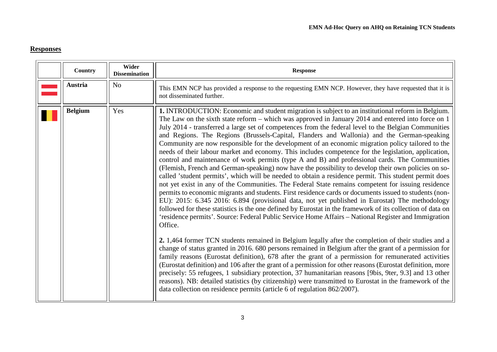# **Responses**

<span id="page-2-1"></span><span id="page-2-0"></span>

| Country        | Wider<br><b>Dissemination</b> | <b>Response</b>                                                                                                                                                                                                                                                                                                                                                                                                                                                                                                                                                                                                                                                                                                                                                                                                                                                                                                                                                                                                                                                                                                                                                                                                                                                                                                                                                                                                                                                                                                                                                                                                                                                                                                                                                                                                                                                                                                                                                                                                                                                                                                                                                                                                                          |
|----------------|-------------------------------|------------------------------------------------------------------------------------------------------------------------------------------------------------------------------------------------------------------------------------------------------------------------------------------------------------------------------------------------------------------------------------------------------------------------------------------------------------------------------------------------------------------------------------------------------------------------------------------------------------------------------------------------------------------------------------------------------------------------------------------------------------------------------------------------------------------------------------------------------------------------------------------------------------------------------------------------------------------------------------------------------------------------------------------------------------------------------------------------------------------------------------------------------------------------------------------------------------------------------------------------------------------------------------------------------------------------------------------------------------------------------------------------------------------------------------------------------------------------------------------------------------------------------------------------------------------------------------------------------------------------------------------------------------------------------------------------------------------------------------------------------------------------------------------------------------------------------------------------------------------------------------------------------------------------------------------------------------------------------------------------------------------------------------------------------------------------------------------------------------------------------------------------------------------------------------------------------------------------------------------|
| <b>Austria</b> | N <sub>o</sub>                | This EMN NCP has provided a response to the requesting EMN NCP. However, they have requested that it is<br>not disseminated further.                                                                                                                                                                                                                                                                                                                                                                                                                                                                                                                                                                                                                                                                                                                                                                                                                                                                                                                                                                                                                                                                                                                                                                                                                                                                                                                                                                                                                                                                                                                                                                                                                                                                                                                                                                                                                                                                                                                                                                                                                                                                                                     |
| <b>Belgium</b> | Yes                           | 1. INTRODUCTION: Economic and student migration is subject to an institutional reform in Belgium.<br>The Law on the sixth state reform – which was approved in January 2014 and entered into force on 1<br>July 2014 - transferred a large set of competences from the federal level to the Belgian Communities<br>and Regions. The Regions (Brussels-Capital, Flanders and Wallonia) and the German-speaking<br>Community are now responsible for the development of an economic migration policy tailored to the<br>needs of their labour market and economy. This includes competence for the legislation, application,<br>control and maintenance of work permits (type A and B) and professional cards. The Communities<br>(Flemish, French and German-speaking) now have the possibility to develop their own policies on so-<br>called 'student permits', which will be needed to obtain a residence permit. This student permit does<br>not yet exist in any of the Communities. The Federal State remains competent for issuing residence<br>permits to economic migrants and students. First residence cards or documents issued to students (non-<br>EU): 2015: 6.345 2016: 6.894 (provisional data, not yet published in Eurostat) The methodology<br>followed for these statistics is the one defined by Eurostat in the framework of its collection of data on<br>'residence permits'. Source: Federal Public Service Home Affairs - National Register and Immigration<br>Office.<br>2. 1,464 former TCN students remained in Belgium legally after the completion of their studies and a<br>change of status granted in 2016. 680 persons remained in Belgium after the grant of a permission for<br>family reasons (Eurostat definition), 678 after the grant of a permission for remunerated activities<br>(Eurostat definition) and 106 after the grant of a permission for other reasons (Eurostat definition, more<br>precisely: 55 refugees, 1 subsidiary protection, 37 humanitarian reasons [9bis, 9ter, 9.3] and 13 other<br>reasons). NB: detailed statistics (by citizenship) were transmitted to Eurostat in the framework of the<br>data collection on residence permits (article 6 of regulation 862/2007). |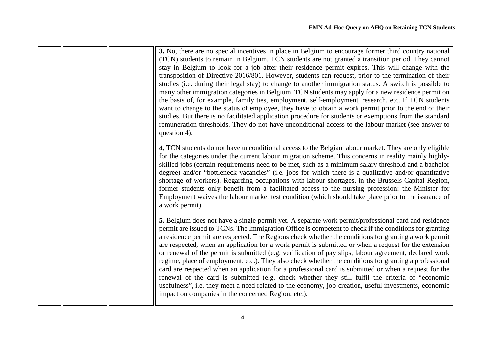|  | 3. No, there are no special incentives in place in Belgium to encourage former third country national<br>(TCN) students to remain in Belgium. TCN students are not granted a transition period. They cannot<br>stay in Belgium to look for a job after their residence permit expires. This will change with the<br>transposition of Directive 2016/801. However, students can request, prior to the termination of their<br>studies (i.e. during their legal stay) to change to another immigration status. A switch is possible to<br>many other immigration categories in Belgium. TCN students may apply for a new residence permit on<br>the basis of, for example, family ties, employment, self-employment, research, etc. If TCN students<br>want to change to the status of employee, they have to obtain a work permit prior to the end of their<br>studies. But there is no facilitated application procedure for students or exemptions from the standard<br>remuneration thresholds. They do not have unconditional access to the labour market (see answer to<br>question 4). |
|--|---------------------------------------------------------------------------------------------------------------------------------------------------------------------------------------------------------------------------------------------------------------------------------------------------------------------------------------------------------------------------------------------------------------------------------------------------------------------------------------------------------------------------------------------------------------------------------------------------------------------------------------------------------------------------------------------------------------------------------------------------------------------------------------------------------------------------------------------------------------------------------------------------------------------------------------------------------------------------------------------------------------------------------------------------------------------------------------------|
|  | 4. TCN students do not have unconditional access to the Belgian labour market. They are only eligible<br>for the categories under the current labour migration scheme. This concerns in reality mainly highly-<br>skilled jobs (certain requirements need to be met, such as a minimum salary threshold and a bachelor<br>degree) and/or "bottleneck vacancies" (i.e. jobs for which there is a qualitative and/or quantitative<br>shortage of workers). Regarding occupations with labour shortages, in the Brussels-Capital Region,<br>former students only benefit from a facilitated access to the nursing profession: the Minister for<br>Employment waives the labour market test condition (which should take place prior to the issuance of<br>a work permit).                                                                                                                                                                                                                                                                                                                      |
|  | 5. Belgium does not have a single permit yet. A separate work permit/professional card and residence<br>permit are issued to TCNs. The Immigration Office is competent to check if the conditions for granting<br>a residence permit are respected. The Regions check whether the conditions for granting a work permit<br>are respected, when an application for a work permit is submitted or when a request for the extension<br>or renewal of the permit is submitted (e.g. verification of pay slips, labour agreement, declared work<br>regime, place of employment, etc.). They also check whether the conditions for granting a professional<br>card are respected when an application for a professional card is submitted or when a request for the<br>renewal of the card is submitted (e.g. check whether they still fulfil the criteria of "economic<br>usefulness", i.e. they meet a need related to the economy, job-creation, useful investments, economic<br>impact on companies in the concerned Region, etc.).                                                           |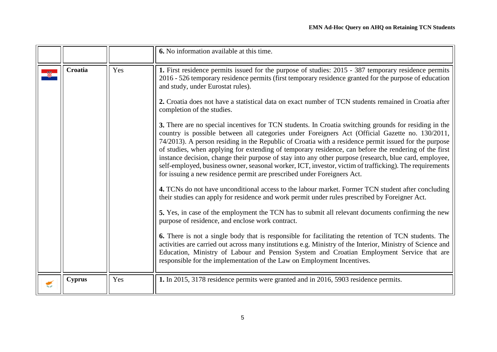<span id="page-4-1"></span><span id="page-4-0"></span>

|               |     | 6. No information available at this time.                                                                                                                                                                                                                                                                                                                                                                                                                                                                                                                                                                                                                                                                                                                                                                                                                                                                                                                                                                                                                                                                                                                                                                                                                                                                                                                                                                                                                                                                                                                                                                                                                                                                                                                                                                                                                                                |
|---------------|-----|------------------------------------------------------------------------------------------------------------------------------------------------------------------------------------------------------------------------------------------------------------------------------------------------------------------------------------------------------------------------------------------------------------------------------------------------------------------------------------------------------------------------------------------------------------------------------------------------------------------------------------------------------------------------------------------------------------------------------------------------------------------------------------------------------------------------------------------------------------------------------------------------------------------------------------------------------------------------------------------------------------------------------------------------------------------------------------------------------------------------------------------------------------------------------------------------------------------------------------------------------------------------------------------------------------------------------------------------------------------------------------------------------------------------------------------------------------------------------------------------------------------------------------------------------------------------------------------------------------------------------------------------------------------------------------------------------------------------------------------------------------------------------------------------------------------------------------------------------------------------------------------|
| Croatia       | Yes | 1. First residence permits issued for the purpose of studies: 2015 - 387 temporary residence permits<br>2016 - 526 temporary residence permits (first temporary residence granted for the purpose of education<br>and study, under Eurostat rules).<br>2. Croatia does not have a statistical data on exact number of TCN students remained in Croatia after<br>completion of the studies.<br>3. There are no special incentives for TCN students. In Croatia switching grounds for residing in the<br>country is possible between all categories under Foreigners Act (Official Gazette no. 130/2011,<br>74/2013). A person residing in the Republic of Croatia with a residence permit issued for the purpose<br>of studies, when applying for extending of temporary residence, can before the rendering of the first<br>instance decision, change their purpose of stay into any other purpose (research, blue card, employee,<br>self-employed, business owner, seasonal worker, ICT, investor, victim of trafficking). The requirements<br>for issuing a new residence permit are prescribed under Foreigners Act.<br>4. TCNs do not have unconditional access to the labour market. Former TCN student after concluding<br>their studies can apply for residence and work permit under rules prescribed by Foreigner Act.<br>5. Yes, in case of the employment the TCN has to submit all relevant documents confirming the new<br>purpose of residence, and enclose work contract.<br>6. There is not a single body that is responsible for facilitating the retention of TCN students. The<br>activities are carried out across many institutions e.g. Ministry of the Interior, Ministry of Science and<br>Education, Ministry of Labour and Pension System and Croatian Employment Service that are<br>responsible for the implementation of the Law on Employment Incentives. |
| <b>Cyprus</b> | Yes | 1. In 2015, 3178 residence permits were granted and in 2016, 5903 residence permits.                                                                                                                                                                                                                                                                                                                                                                                                                                                                                                                                                                                                                                                                                                                                                                                                                                                                                                                                                                                                                                                                                                                                                                                                                                                                                                                                                                                                                                                                                                                                                                                                                                                                                                                                                                                                     |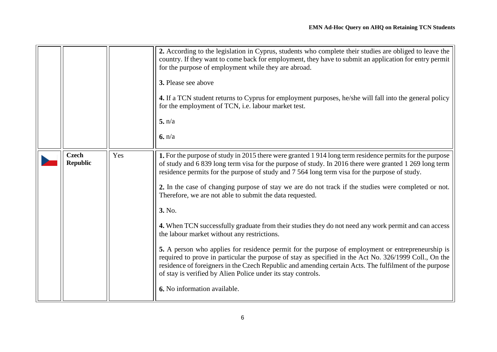<span id="page-5-0"></span>

|                                 |     | 2. According to the legislation in Cyprus, students who complete their studies are obliged to leave the<br>country. If they want to come back for employment, they have to submit an application for entry permit<br>for the purpose of employment while they are abroad.<br>3. Please see above<br>4. If a TCN student returns to Cyprus for employment purposes, he/she will fall into the general policy<br>for the employment of TCN, i.e. labour market test.<br>5. n/a<br>6. n/a                                                                                                                                                                                                                                                                                                                                                                                                                                                                                                                                                                                           |
|---------------------------------|-----|----------------------------------------------------------------------------------------------------------------------------------------------------------------------------------------------------------------------------------------------------------------------------------------------------------------------------------------------------------------------------------------------------------------------------------------------------------------------------------------------------------------------------------------------------------------------------------------------------------------------------------------------------------------------------------------------------------------------------------------------------------------------------------------------------------------------------------------------------------------------------------------------------------------------------------------------------------------------------------------------------------------------------------------------------------------------------------|
| <b>Czech</b><br><b>Republic</b> | Yes | 1. For the purpose of study in 2015 there were granted 1914 long term residence permits for the purpose<br>of study and 6 839 long term visa for the purpose of study. In 2016 there were granted 1 269 long term<br>residence permits for the purpose of study and 7 564 long term visa for the purpose of study.<br>2. In the case of changing purpose of stay we are do not track if the studies were completed or not.<br>Therefore, we are not able to submit the data requested.<br>3. No.<br>4. When TCN successfully graduate from their studies they do not need any work permit and can access<br>the labour market without any restrictions.<br>5. A person who applies for residence permit for the purpose of employment or entrepreneurship is<br>required to prove in particular the purpose of stay as specified in the Act No. 326/1999 Coll., On the<br>residence of foreigners in the Czech Republic and amending certain Acts. The fulfilment of the purpose<br>of stay is verified by Alien Police under its stay controls.<br>6. No information available. |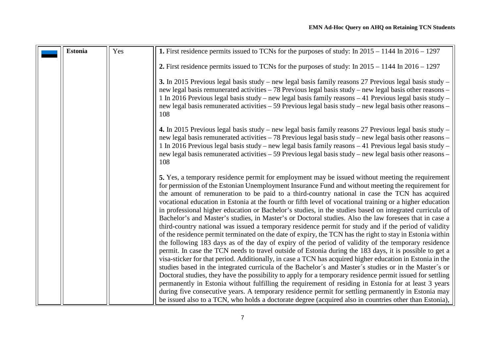<span id="page-6-0"></span>

| <b>Estonia</b> | Yes | 1. First residence permits issued to TCNs for the purposes of study: In $2015 - 1144$ In $2016 - 1297$                                                                                                                                                                                                                                                                                                                                                                                                                                                                                                                                                                                                                                                                                                                                                                                                                                                                                                                                                                                                                                                                                                                                                                                                                                                                                                                                                                                                                                                                                                                                                                                                                                             |
|----------------|-----|----------------------------------------------------------------------------------------------------------------------------------------------------------------------------------------------------------------------------------------------------------------------------------------------------------------------------------------------------------------------------------------------------------------------------------------------------------------------------------------------------------------------------------------------------------------------------------------------------------------------------------------------------------------------------------------------------------------------------------------------------------------------------------------------------------------------------------------------------------------------------------------------------------------------------------------------------------------------------------------------------------------------------------------------------------------------------------------------------------------------------------------------------------------------------------------------------------------------------------------------------------------------------------------------------------------------------------------------------------------------------------------------------------------------------------------------------------------------------------------------------------------------------------------------------------------------------------------------------------------------------------------------------------------------------------------------------------------------------------------------------|
|                |     |                                                                                                                                                                                                                                                                                                                                                                                                                                                                                                                                                                                                                                                                                                                                                                                                                                                                                                                                                                                                                                                                                                                                                                                                                                                                                                                                                                                                                                                                                                                                                                                                                                                                                                                                                    |
|                |     | 2. First residence permits issued to TCNs for the purposes of study: In $2015 - 1144$ In $2016 - 1297$                                                                                                                                                                                                                                                                                                                                                                                                                                                                                                                                                                                                                                                                                                                                                                                                                                                                                                                                                                                                                                                                                                                                                                                                                                                                                                                                                                                                                                                                                                                                                                                                                                             |
|                |     | 3. In 2015 Previous legal basis study – new legal basis family reasons 27 Previous legal basis study –<br>new legal basis remunerated activities – 78 Previous legal basis study – new legal basis other reasons –<br>1 In 2016 Previous legal basis study – new legal basis family reasons – 41 Previous legal basis study –<br>new legal basis remunerated activities – 59 Previous legal basis study – new legal basis other reasons –<br>108                                                                                                                                                                                                                                                                                                                                                                                                                                                                                                                                                                                                                                                                                                                                                                                                                                                                                                                                                                                                                                                                                                                                                                                                                                                                                                   |
|                |     | 4. In 2015 Previous legal basis study - new legal basis family reasons 27 Previous legal basis study -<br>new legal basis remunerated activities – 78 Previous legal basis study – new legal basis other reasons –<br>1 In 2016 Previous legal basis study – new legal basis family reasons – 41 Previous legal basis study –<br>new legal basis remunerated activities – 59 Previous legal basis study – new legal basis other reasons –<br>108                                                                                                                                                                                                                                                                                                                                                                                                                                                                                                                                                                                                                                                                                                                                                                                                                                                                                                                                                                                                                                                                                                                                                                                                                                                                                                   |
|                |     | 5. Yes, a temporary residence permit for employment may be issued without meeting the requirement<br>for permission of the Estonian Unemployment Insurance Fund and without meeting the requirement for<br>the amount of remuneration to be paid to a third-country national in case the TCN has acquired<br>vocational education in Estonia at the fourth or fifth level of vocational training or a higher education<br>in professional higher education or Bachelor's studies, in the studies based on integrated curricula of<br>Bachelor's and Master's studies, in Master's or Doctoral studies. Also the law foresees that in case a<br>third-country national was issued a temporary residence permit for study and if the period of validity<br>of the residence permit terminated on the date of expiry, the TCN has the right to stay in Estonia within<br>the following 183 days as of the day of expiry of the period of validity of the temporary residence<br>permit. In case the TCN needs to travel outside of Estonia during the 183 days, it is possible to get a<br>visa-sticker for that period. Additionally, in case a TCN has acquired higher education in Estonia in the<br>studies based in the integrated curricula of the Bachelor's and Master's studies or in the Master's or<br>Doctoral studies, they have the possibility to apply for a temporary residence permit issued for settling<br>permanently in Estonia without fulfilling the requirement of residing in Estonia for at least 3 years<br>during five consecutive years. A temporary residence permit for settling permanently in Estonia may<br>be issued also to a TCN, who holds a doctorate degree (acquired also in countries other than Estonia), |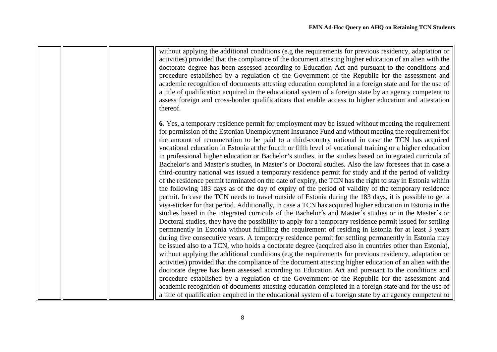|  | without applying the additional conditions (e.g the requirements for previous residency, adaptation or<br>activities) provided that the compliance of the document attesting higher education of an alien with the<br>doctorate degree has been assessed according to Education Act and pursuant to the conditions and<br>procedure established by a regulation of the Government of the Republic for the assessment and<br>academic recognition of documents attesting education completed in a foreign state and for the use of<br>a title of qualification acquired in the educational system of a foreign state by an agency competent to<br>assess foreign and cross-border qualifications that enable access to higher education and attestation<br>thereof.                                                                                                                                                                                                                                                                                                                                                                                                                                                                                                                                                                                                                                                                                                                                                                                                                                                                                                                                                                                                                                                                                                                                                                                                                                                                                                                                                                                                                                                                                                                                                                                                                                  |
|--|-----------------------------------------------------------------------------------------------------------------------------------------------------------------------------------------------------------------------------------------------------------------------------------------------------------------------------------------------------------------------------------------------------------------------------------------------------------------------------------------------------------------------------------------------------------------------------------------------------------------------------------------------------------------------------------------------------------------------------------------------------------------------------------------------------------------------------------------------------------------------------------------------------------------------------------------------------------------------------------------------------------------------------------------------------------------------------------------------------------------------------------------------------------------------------------------------------------------------------------------------------------------------------------------------------------------------------------------------------------------------------------------------------------------------------------------------------------------------------------------------------------------------------------------------------------------------------------------------------------------------------------------------------------------------------------------------------------------------------------------------------------------------------------------------------------------------------------------------------------------------------------------------------------------------------------------------------------------------------------------------------------------------------------------------------------------------------------------------------------------------------------------------------------------------------------------------------------------------------------------------------------------------------------------------------------------------------------------------------------------------------------------------------|
|  | 6. Yes, a temporary residence permit for employment may be issued without meeting the requirement<br>for permission of the Estonian Unemployment Insurance Fund and without meeting the requirement for<br>the amount of remuneration to be paid to a third-country national in case the TCN has acquired<br>vocational education in Estonia at the fourth or fifth level of vocational training or a higher education<br>in professional higher education or Bachelor's studies, in the studies based on integrated curricula of<br>Bachelor's and Master's studies, in Master's or Doctoral studies. Also the law foresees that in case a<br>third-country national was issued a temporary residence permit for study and if the period of validity<br>of the residence permit terminated on the date of expiry, the TCN has the right to stay in Estonia within<br>the following 183 days as of the day of expiry of the period of validity of the temporary residence<br>permit. In case the TCN needs to travel outside of Estonia during the 183 days, it is possible to get a<br>visa-sticker for that period. Additionally, in case a TCN has acquired higher education in Estonia in the<br>studies based in the integrated curricula of the Bachelor's and Master's studies or in the Master's or<br>Doctoral studies, they have the possibility to apply for a temporary residence permit issued for settling<br>permanently in Estonia without fulfilling the requirement of residing in Estonia for at least 3 years<br>during five consecutive years. A temporary residence permit for settling permanently in Estonia may<br>be issued also to a TCN, who holds a doctorate degree (acquired also in countries other than Estonia),<br>without applying the additional conditions (e.g the requirements for previous residency, adaptation or<br>activities) provided that the compliance of the document attesting higher education of an alien with the<br>doctorate degree has been assessed according to Education Act and pursuant to the conditions and<br>procedure established by a regulation of the Government of the Republic for the assessment and<br>academic recognition of documents attesting education completed in a foreign state and for the use of<br>a title of qualification acquired in the educational system of a foreign state by an agency competent to |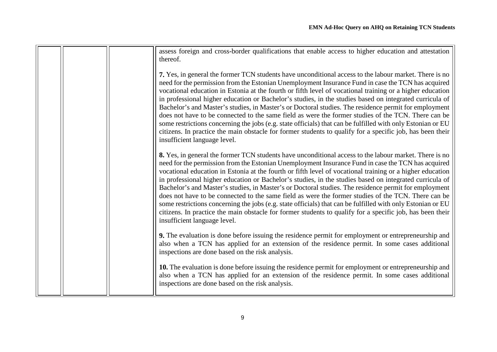| assess foreign and cross-border qualifications that enable access to higher education and attestation<br>thereof.                                                                                                                                                                                                                                                                                                                                                                                                                                                                                                                                                                                                                                                                                                                                                                                                |
|------------------------------------------------------------------------------------------------------------------------------------------------------------------------------------------------------------------------------------------------------------------------------------------------------------------------------------------------------------------------------------------------------------------------------------------------------------------------------------------------------------------------------------------------------------------------------------------------------------------------------------------------------------------------------------------------------------------------------------------------------------------------------------------------------------------------------------------------------------------------------------------------------------------|
| 7. Yes, in general the former TCN students have unconditional access to the labour market. There is no<br>need for the permission from the Estonian Unemployment Insurance Fund in case the TCN has acquired<br>vocational education in Estonia at the fourth or fifth level of vocational training or a higher education<br>in professional higher education or Bachelor's studies, in the studies based on integrated curricula of<br>Bachelor's and Master's studies, in Master's or Doctoral studies. The residence permit for employment<br>does not have to be connected to the same field as were the former studies of the TCN. There can be<br>some restrictions concerning the jobs (e.g. state officials) that can be fulfilled with only Estonian or EU<br>citizens. In practice the main obstacle for former students to qualify for a specific job, has been their<br>insufficient language level. |
| 8. Yes, in general the former TCN students have unconditional access to the labour market. There is no<br>need for the permission from the Estonian Unemployment Insurance Fund in case the TCN has acquired<br>vocational education in Estonia at the fourth or fifth level of vocational training or a higher education<br>in professional higher education or Bachelor's studies, in the studies based on integrated curricula of<br>Bachelor's and Master's studies, in Master's or Doctoral studies. The residence permit for employment<br>does not have to be connected to the same field as were the former studies of the TCN. There can be<br>some restrictions concerning the jobs (e.g. state officials) that can be fulfilled with only Estonian or EU<br>citizens. In practice the main obstacle for former students to qualify for a specific job, has been their<br>insufficient language level. |
| 9. The evaluation is done before issuing the residence permit for employment or entrepreneurship and<br>also when a TCN has applied for an extension of the residence permit. In some cases additional<br>inspections are done based on the risk analysis.                                                                                                                                                                                                                                                                                                                                                                                                                                                                                                                                                                                                                                                       |
| 10. The evaluation is done before issuing the residence permit for employment or entrepreneurship and<br>also when a TCN has applied for an extension of the residence permit. In some cases additional<br>inspections are done based on the risk analysis.                                                                                                                                                                                                                                                                                                                                                                                                                                                                                                                                                                                                                                                      |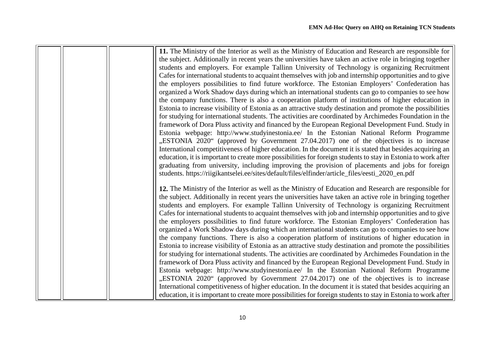|  | 11. The Ministry of the Interior as well as the Ministry of Education and Research are responsible for        |
|--|---------------------------------------------------------------------------------------------------------------|
|  | the subject. Additionally in recent years the universities have taken an active role in bringing together     |
|  | students and employers. For example Tallinn University of Technology is organizing Recruitment                |
|  | Cafes for international students to acquaint themselves with job and internship opportunities and to give     |
|  | the employers possibilities to find future workforce. The Estonian Employers' Confederation has               |
|  | organized a Work Shadow days during which an international students can go to companies to see how            |
|  | the company functions. There is also a cooperation platform of institutions of higher education in            |
|  | Estonia to increase visibility of Estonia as an attractive study destination and promote the possibilities    |
|  | for studying for international students. The activities are coordinated by Archimedes Foundation in the       |
|  | framework of Dora Pluss activity and financed by the European Regional Development Fund. Study in             |
|  | Estonia webpage: http://www.studyinestonia.ee/ In the Estonian National Reform Programme                      |
|  | "ESTONIA 2020" (approved by Government 27.04.2017) one of the objectives is to increase                       |
|  | International competitiveness of higher education. In the document it is stated that besides acquiring an     |
|  | education, it is important to create more possibilities for foreign students to stay in Estonia to work after |
|  |                                                                                                               |
|  | graduating from university, including improving the provision of placements and jobs for foreign              |
|  | students. https://riigikantselei.ee/sites/default/files/elfinder/article_files/eesti_2020_en.pdf              |
|  | 12. The Ministry of the Interior as well as the Ministry of Education and Research are responsible for        |
|  | the subject. Additionally in recent years the universities have taken an active role in bringing together     |
|  | students and employers. For example Tallinn University of Technology is organizing Recruitment                |
|  | Cafes for international students to acquaint themselves with job and internship opportunities and to give     |
|  | the employers possibilities to find future workforce. The Estonian Employers' Confederation has               |
|  | organized a Work Shadow days during which an international students can go to companies to see how            |
|  | the company functions. There is also a cooperation platform of institutions of higher education in            |
|  |                                                                                                               |
|  | Estonia to increase visibility of Estonia as an attractive study destination and promote the possibilities    |
|  | for studying for international students. The activities are coordinated by Archimedes Foundation in the       |
|  | framework of Dora Pluss activity and financed by the European Regional Development Fund. Study in             |
|  | Estonia webpage: http://www.studyinestonia.ee/ In the Estonian National Reform Programme                      |
|  | "ESTONIA 2020" (approved by Government 27.04.2017) one of the objectives is to increase                       |
|  | International competitiveness of higher education. In the document it is stated that besides acquiring an     |
|  | education, it is important to create more possibilities for foreign students to stay in Estonia to work after |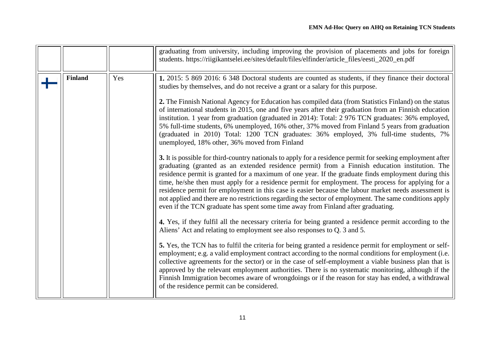<span id="page-10-0"></span>

|                |     | graduating from university, including improving the provision of placements and jobs for foreign<br>students. https://riigikantselei.ee/sites/default/files/elfinder/article_files/eesti_2020_en.pdf                                                                                                                                                                                                                                                                                                                                                                                                                                                                                                                                                                                                                                                                                                                                                                                                                                                                                                                                                                                                                                                                                                                                                                                                                                                                                                                                                                                                                                                                                                                                                                                                                                                                                                                                                                                                                                                                                                                           |
|----------------|-----|--------------------------------------------------------------------------------------------------------------------------------------------------------------------------------------------------------------------------------------------------------------------------------------------------------------------------------------------------------------------------------------------------------------------------------------------------------------------------------------------------------------------------------------------------------------------------------------------------------------------------------------------------------------------------------------------------------------------------------------------------------------------------------------------------------------------------------------------------------------------------------------------------------------------------------------------------------------------------------------------------------------------------------------------------------------------------------------------------------------------------------------------------------------------------------------------------------------------------------------------------------------------------------------------------------------------------------------------------------------------------------------------------------------------------------------------------------------------------------------------------------------------------------------------------------------------------------------------------------------------------------------------------------------------------------------------------------------------------------------------------------------------------------------------------------------------------------------------------------------------------------------------------------------------------------------------------------------------------------------------------------------------------------------------------------------------------------------------------------------------------------|
| <b>Finland</b> | Yes | 1. 2015: 5 869 2016: 6 348 Doctoral students are counted as students, if they finance their doctoral<br>studies by themselves, and do not receive a grant or a salary for this purpose.<br>2. The Finnish National Agency for Education has compiled data (from Statistics Finland) on the status<br>of international students in 2015, one and five years after their graduation from an Finnish education<br>institution. 1 year from graduation (graduated in 2014): Total: 2 976 TCN graduates: 36% employed,<br>5% full-time students, 6% unemployed, 16% other, 37% moved from Finland 5 years from graduation<br>(graduated in 2010) Total: 1200 TCN graduates: 36% employed, 3% full-time students, 7%<br>unemployed, 18% other, 36% moved from Finland<br>3. It is possible for third-country nationals to apply for a residence permit for seeking employment after<br>graduating (granted as an extended residence permit) from a Finnish education institution. The<br>residence permit is granted for a maximum of one year. If the graduate finds employment during this<br>time, he/she then must apply for a residence permit for employment. The process for applying for a<br>residence permit for employment in this case is easier because the labour market needs assessment is<br>not applied and there are no restrictions regarding the sector of employment. The same conditions apply<br>even if the TCN graduate has spent some time away from Finland after graduating.<br>4. Yes, if they fulfil all the necessary criteria for being granted a residence permit according to the<br>Aliens' Act and relating to employment see also responses to Q. 3 and 5.<br>5. Yes, the TCN has to fulfil the criteria for being granted a residence permit for employment or self-<br>employment; e.g. a valid employment contract according to the normal conditions for employment (i.e.<br>collective agreements for the sector) or in the case of self-employment a viable business plan that is<br>approved by the relevant employment authorities. There is no systematic monitoring, although if the |
|                |     | Finnish Immigration becomes aware of wrongdoings or if the reason for stay has ended, a withdrawal<br>of the residence permit can be considered.                                                                                                                                                                                                                                                                                                                                                                                                                                                                                                                                                                                                                                                                                                                                                                                                                                                                                                                                                                                                                                                                                                                                                                                                                                                                                                                                                                                                                                                                                                                                                                                                                                                                                                                                                                                                                                                                                                                                                                               |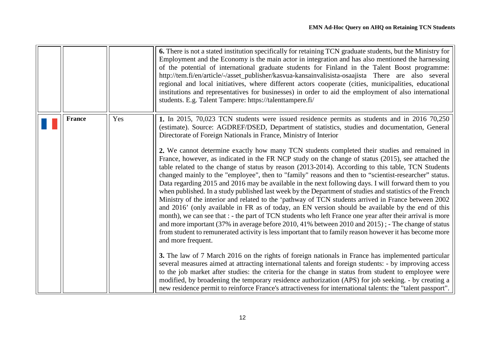<span id="page-11-0"></span>

|               |     | 6. There is not a stated institution specifically for retaining TCN graduate students, but the Ministry for<br>Employment and the Economy is the main actor in integration and has also mentioned the harnessing<br>of the potential of international graduate students for Finland in the Talent Boost programme:<br>http://tem.fi/en/article/-/asset_publisher/kasvua-kansainvalisista-osaajista There are also several<br>regional and local initiatives, where different actors cooperate (cities, municipalities, educational<br>institutions and representatives for businesses) in order to aid the employment of also international<br>students. E.g. Talent Tampere: https://talenttampere.fi/                                                                                                                                                                                                                                                                                                                                                                                                                                                                                                                                                                                                                                                                                                                                                                                                                                                                                                                                                                                                                                                                                                                                                                                                                                                                                                                   |
|---------------|-----|---------------------------------------------------------------------------------------------------------------------------------------------------------------------------------------------------------------------------------------------------------------------------------------------------------------------------------------------------------------------------------------------------------------------------------------------------------------------------------------------------------------------------------------------------------------------------------------------------------------------------------------------------------------------------------------------------------------------------------------------------------------------------------------------------------------------------------------------------------------------------------------------------------------------------------------------------------------------------------------------------------------------------------------------------------------------------------------------------------------------------------------------------------------------------------------------------------------------------------------------------------------------------------------------------------------------------------------------------------------------------------------------------------------------------------------------------------------------------------------------------------------------------------------------------------------------------------------------------------------------------------------------------------------------------------------------------------------------------------------------------------------------------------------------------------------------------------------------------------------------------------------------------------------------------------------------------------------------------------------------------------------------------|
| <b>France</b> | Yes | 1. In 2015, 70,023 TCN students were issued residence permits as students and in 2016 70,250<br>(estimate). Source: AGDREF/DSED, Department of statistics, studies and documentation, General<br>Directorate of Foreign Nationals in France, Ministry of Interior<br>2. We cannot determine exactly how many TCN students completed their studies and remained in<br>France, however, as indicated in the FR NCP study on the change of status (2015), see attached the<br>table related to the change of status by reason (2013-2014). According to this table, TCN Students<br>changed mainly to the "employee", then to "family" reasons and then to "scientist-researcher" status.<br>Data regarding 2015 and 2016 may be available in the next following days. I will forward them to you<br>when published. In a study published last week by the Department of studies and statistics of the French<br>Ministry of the interior and related to the 'pathway of TCN students arrived in France between 2002<br>and 2016' (only available in FR as of today, an EN version should be available by the end of this<br>month), we can see that : - the part of TCN students who left France one year after their arrival is more<br>and more important (37% in average before 2010, 41% between 2010 and 2015); - The change of status<br>from student to remunerated activity is less important that to family reason however it has become more<br>and more frequent.<br>3. The law of 7 March 2016 on the rights of foreign nationals in France has implemented particular<br>several measures aimed at attracting international talents and foreign students: - by improving access<br>to the job market after studies: the criteria for the change in status from student to employee were<br>modified, by broadening the temporary residence authorization (APS) for job seeking. - by creating a<br>new residence permit to reinforce France's attractiveness for international talents: the "talent passport". |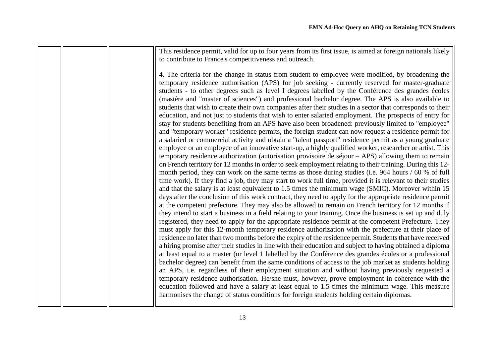This residence permit, valid for up to four years from its first issue, is aimed at foreign nationals likely to contribute to France's competitiveness and outreach.

**4.** The criteria for the change in status from student to employee were modified, by broadening the temporary residence authorisation (APS) for job seeking - currently reserved for master-graduate students - to other degrees such as level I degrees labelled by the Conférence des grandes écoles (mastère and "master of sciences") and professional bachelor degree. The APS is also available to students that wish to create their own companies after their studies in a sector that corresponds to their education, and not just to students that wish to enter salaried employment. The prospects of entry for stay for students benefiting from an APS have also been broadened: previously limited to "employee" and "temporary worker" residence permits, the foreign student can now request a residence permit for a salaried or commercial activity and obtain a "talent passport" residence permit as a young graduate employee or an employee of an innovative start-up, a highly qualified worker, researcher or artist. This temporary residence authorization (autorisation provisoire de séjour – APS) allowing them to remain on French territory for 12 months in order to seek employment relating to their training. During this 12 month period, they can work on the same terms as those during studies (i.e. 964 hours / 60 % of full time work). If they find a job, they may start to work full time, provided it is relevant to their studies and that the salary is at least equivalent to 1.5 times the minimum wage (SMIC). Moreover within 15 days after the conclusion of this work contract, they need to apply for the appropriate residence permit at the competent prefecture. They may also be allowed to remain on French territory for 12 months if they intend to start a business in a field relating to your training. Once the business is set up and duly registered, they need to apply for the appropriate residence permit at the competent Prefecture. They must apply for this 12-month temporary residence authorization with the prefecture at their place of residence no later than two months before the expiry of the residence permit. Students that have received a hiring promise after their studies in line with their education and subject to having obtained a diploma at least equal to a master (or level 1 labelled by the Conférence des grandes écoles or a professional bachelor degree) can benefit from the same conditions of access to the job market as students holding an APS, i.e. regardless of their employment situation and without having previously requested a temporary residence authorisation. He/she must, however, prove employment in coherence with the education followed and have a salary at least equal to 1.5 times the minimum wage. This measure harmonises the change of status conditions for foreign students holding certain diplomas.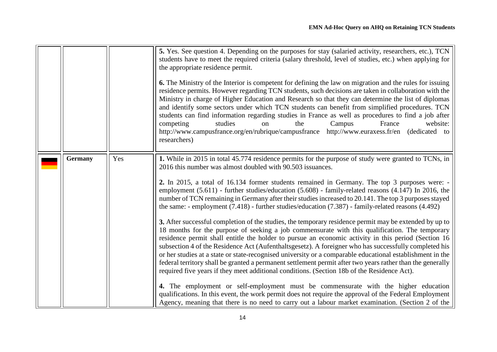<span id="page-13-0"></span>

|                |     | 5. Yes. See question 4. Depending on the purposes for stay (salaried activity, researchers, etc.), TCN<br>students have to meet the required criteria (salary threshold, level of studies, etc.) when applying for<br>the appropriate residence permit.<br><b>6.</b> The Ministry of the Interior is competent for defining the law on migration and the rules for issuing<br>residence permits. However regarding TCN students, such decisions are taken in collaboration with the<br>Ministry in charge of Higher Education and Research so that they can determine the list of diplomas<br>and identify some sectors under which TCN students can benefit from simplified procedures. TCN<br>students can find information regarding studies in France as well as procedures to find a job after<br>competing<br>studies<br>Campus<br>France<br>website:<br>the<br>on<br>http://www.campusfrance.org/en/rubrique/campusfrance http://www.euraxess.fr/en (dedicated to<br>researchers)                                                                                                                                                                                                                                                                                                                                                                                                                                                                                                                                                                                                                                                                      |
|----------------|-----|---------------------------------------------------------------------------------------------------------------------------------------------------------------------------------------------------------------------------------------------------------------------------------------------------------------------------------------------------------------------------------------------------------------------------------------------------------------------------------------------------------------------------------------------------------------------------------------------------------------------------------------------------------------------------------------------------------------------------------------------------------------------------------------------------------------------------------------------------------------------------------------------------------------------------------------------------------------------------------------------------------------------------------------------------------------------------------------------------------------------------------------------------------------------------------------------------------------------------------------------------------------------------------------------------------------------------------------------------------------------------------------------------------------------------------------------------------------------------------------------------------------------------------------------------------------------------------------------------------------------------------------------------------------|
| <b>Germany</b> | Yes | 1. While in 2015 in total 45.774 residence permits for the purpose of study were granted to TCNs, in<br>2016 this number was almost doubled with 90.503 issuances.<br>2. In 2015, a total of 16.134 former students remained in Germany. The top 3 purposes were: -<br>employment (5.611) - further studies/education (5.608) - family-related reasons (4.147) In 2016, the<br>number of TCN remaining in Germany after their studies increased to 20.141. The top 3 purposes stayed<br>the same: - employment $(7.418)$ - further studies/education $(7.387)$ - family-related reasons $(4.492)$<br>3. After successful completion of the studies, the temporary residence permit may be extended by up to<br>18 months for the purpose of seeking a job commensurate with this qualification. The temporary<br>residence permit shall entitle the holder to pursue an economic activity in this period (Section 16<br>subsection 4 of the Residence Act (Aufenthaltsgesetz). A foreigner who has successfully completed his<br>or her studies at a state or state-recognised university or a comparable educational establishment in the<br>federal territory shall be granted a permanent settlement permit after two years rather than the generally<br>required five years if they meet additional conditions. (Section 18b of the Residence Act).<br>4. The employment or self-employment must be commensurate with the higher education<br>qualifications. In this event, the work permit does not require the approval of the Federal Employment<br>Agency, meaning that there is no need to carry out a labour market examination. (Section 2 of the |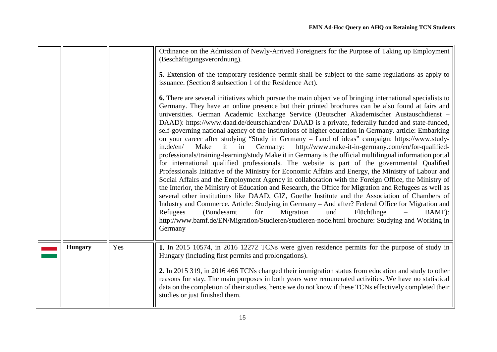<span id="page-14-0"></span>

|                |     | Ordinance on the Admission of Newly-Arrived Foreigners for the Purpose of Taking up Employment<br>(Beschäftigungsverordnung).<br>5. Extension of the temporary residence permit shall be subject to the same regulations as apply to<br>issuance. (Section 8 subsection 1 of the Residence Act).<br><b>6.</b> There are several initiatives which pursue the main objective of bringing international specialists to<br>Germany. They have an online presence but their printed brochures can be also found at fairs and<br>universities. German Academic Exchange Service (Deutscher Akademischer Austauschdienst -<br>DAAD): https://www.daad.de/deutschland/en/ DAAD is a private, federally funded and state-funded,<br>self-governing national agency of the institutions of higher education in Germany. article: Embarking<br>on your career after studying "Study in Germany - Land of ideas" campaign: https://www.study-<br>it in<br>Germany:<br>http://www.make-it-in-germany.com/en/for-qualified-<br>in.de/en/<br>Make<br>professionals/training-learning/study Make it in Germany is the official multilingual information portal<br>for international qualified professionals. The website is part of the governmental Qualified<br>Professionals Initiative of the Ministry for Economic Affairs and Energy, the Ministry of Labour and<br>Social Affairs and the Employment Agency in collaboration with the Foreign Office, the Ministry of<br>the Interior, the Ministry of Education and Research, the Office for Migration and Refugees as well as<br>several other institutions like DAAD, GIZ, Goethe Institute and the Association of Chambers of<br>Industry and Commerce. Article: Studying in Germany - And after? Federal Office for Migration and<br>für<br>und<br>(Bundesamt)<br>Migration<br>Flüchtlinge<br>Refugees<br>BAMF):<br>http://www.bamf.de/EN/Migration/Studieren/studieren-node.html brochure: Studying and Working in<br>Germany |
|----------------|-----|-----------------------------------------------------------------------------------------------------------------------------------------------------------------------------------------------------------------------------------------------------------------------------------------------------------------------------------------------------------------------------------------------------------------------------------------------------------------------------------------------------------------------------------------------------------------------------------------------------------------------------------------------------------------------------------------------------------------------------------------------------------------------------------------------------------------------------------------------------------------------------------------------------------------------------------------------------------------------------------------------------------------------------------------------------------------------------------------------------------------------------------------------------------------------------------------------------------------------------------------------------------------------------------------------------------------------------------------------------------------------------------------------------------------------------------------------------------------------------------------------------------------------------------------------------------------------------------------------------------------------------------------------------------------------------------------------------------------------------------------------------------------------------------------------------------------------------------------------------------------------------------------------------------------------------------------------------------------------------|
| <b>Hungary</b> | Yes | 1. In 2015 10574, in 2016 12272 TCNs were given residence permits for the purpose of study in<br>Hungary (including first permits and prolongations).<br>2. In 2015 319, in 2016 466 TCNs changed their immigration status from education and study to other<br>reasons for stay. The main purposes in both years were remunerated activities. We have no statistical<br>data on the completion of their studies, hence we do not know if these TCNs effectively completed their<br>studies or just finished them.                                                                                                                                                                                                                                                                                                                                                                                                                                                                                                                                                                                                                                                                                                                                                                                                                                                                                                                                                                                                                                                                                                                                                                                                                                                                                                                                                                                                                                                          |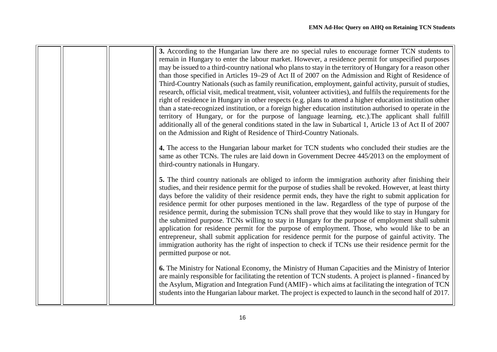|  | 3. According to the Hungarian law there are no special rules to encourage former TCN students to<br>remain in Hungary to enter the labour market. However, a residence permit for unspecified purposes<br>may be issued to a third-country national who plans to stay in the territory of Hungary for a reason other<br>than those specified in Articles 19–29 of Act II of 2007 on the Admission and Right of Residence of<br>Third-Country Nationals (such as family reunification, employment, gainful activity, pursuit of studies,<br>research, official visit, medical treatment, visit, volunteer activities), and fulfils the requirements for the<br>right of residence in Hungary in other respects (e.g. plans to attend a higher education institution other<br>than a state-recognized institution, or a foreign higher education institution authorised to operate in the<br>territory of Hungary, or for the purpose of language learning, etc.). The applicant shall fulfill<br>additionally all of the general conditions stated in the law in Subartical 1, Article 13 of Act II of 2007<br>on the Admission and Right of Residence of Third-Country Nationals. |
|--|-----------------------------------------------------------------------------------------------------------------------------------------------------------------------------------------------------------------------------------------------------------------------------------------------------------------------------------------------------------------------------------------------------------------------------------------------------------------------------------------------------------------------------------------------------------------------------------------------------------------------------------------------------------------------------------------------------------------------------------------------------------------------------------------------------------------------------------------------------------------------------------------------------------------------------------------------------------------------------------------------------------------------------------------------------------------------------------------------------------------------------------------------------------------------------------|
|  | 4. The access to the Hungarian labour market for TCN students who concluded their studies are the<br>same as other TCNs. The rules are laid down in Government Decree 445/2013 on the employment of<br>third-country nationals in Hungary.                                                                                                                                                                                                                                                                                                                                                                                                                                                                                                                                                                                                                                                                                                                                                                                                                                                                                                                                        |
|  | 5. The third country nationals are obliged to inform the immigration authority after finishing their<br>studies, and their residence permit for the purpose of studies shall be revoked. However, at least thirty<br>days before the validity of their residence permit ends, they have the right to submit application for<br>residence permit for other purposes mentioned in the law. Regardless of the type of purpose of the<br>residence permit, during the submission TCNs shall prove that they would like to stay in Hungary for<br>the submitted purpose. TCNs willing to stay in Hungary for the purpose of employment shall submit<br>application for residence permit for the purpose of employment. Those, who would like to be an<br>entrepreneur, shall submit application for residence permit for the purpose of gainful activity. The<br>immigration authority has the right of inspection to check if TCNs use their residence permit for the<br>permitted purpose or not.                                                                                                                                                                                    |
|  | 6. The Ministry for National Economy, the Ministry of Human Capacities and the Ministry of Interior<br>are mainly responsible for facilitating the retention of TCN students. A project is planned - financed by<br>the Asylum, Migration and Integration Fund (AMIF) - which aims at facilitating the integration of TCN<br>students into the Hungarian labour market. The project is expected to launch in the second half of 2017.                                                                                                                                                                                                                                                                                                                                                                                                                                                                                                                                                                                                                                                                                                                                             |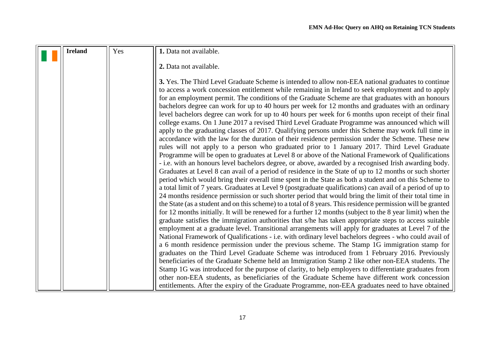<span id="page-16-0"></span>

| <b>Ireland</b> | Yes | 1. Data not available.                                                                                                                                                                                                                                                                                                                                                                                                                                                                                                                                                                                                                                                                                                                                                                                                                                                                                                                                                                                                                                                                                                                                                                                                                                                                                                                                                                                                                                                                                                                                                                                                                                                                                                                                                                                                                                                                                                                                                                                                                                                                                                                                                                                                                                                                                                                                                  |
|----------------|-----|-------------------------------------------------------------------------------------------------------------------------------------------------------------------------------------------------------------------------------------------------------------------------------------------------------------------------------------------------------------------------------------------------------------------------------------------------------------------------------------------------------------------------------------------------------------------------------------------------------------------------------------------------------------------------------------------------------------------------------------------------------------------------------------------------------------------------------------------------------------------------------------------------------------------------------------------------------------------------------------------------------------------------------------------------------------------------------------------------------------------------------------------------------------------------------------------------------------------------------------------------------------------------------------------------------------------------------------------------------------------------------------------------------------------------------------------------------------------------------------------------------------------------------------------------------------------------------------------------------------------------------------------------------------------------------------------------------------------------------------------------------------------------------------------------------------------------------------------------------------------------------------------------------------------------------------------------------------------------------------------------------------------------------------------------------------------------------------------------------------------------------------------------------------------------------------------------------------------------------------------------------------------------------------------------------------------------------------------------------------------------|
|                |     | 2. Data not available.                                                                                                                                                                                                                                                                                                                                                                                                                                                                                                                                                                                                                                                                                                                                                                                                                                                                                                                                                                                                                                                                                                                                                                                                                                                                                                                                                                                                                                                                                                                                                                                                                                                                                                                                                                                                                                                                                                                                                                                                                                                                                                                                                                                                                                                                                                                                                  |
|                |     | 3. Yes. The Third Level Graduate Scheme is intended to allow non-EEA national graduates to continue<br>to access a work concession entitlement while remaining in Ireland to seek employment and to apply<br>for an employment permit. The conditions of the Graduate Scheme are that graduates with an honours<br>bachelors degree can work for up to 40 hours per week for 12 months and graduates with an ordinary<br>level bachelors degree can work for up to 40 hours per week for 6 months upon receipt of their final<br>college exams. On 1 June 2017 a revised Third Level Graduate Programme was announced which will<br>apply to the graduating classes of 2017. Qualifying persons under this Scheme may work full time in<br>accordance with the law for the duration of their residence permission under the Scheme. These new<br>rules will not apply to a person who graduated prior to 1 January 2017. Third Level Graduate<br>Programme will be open to graduates at Level 8 or above of the National Framework of Qualifications<br>- i.e. with an honours level bachelors degree, or above, awarded by a recognised Irish awarding body.<br>Graduates at Level 8 can avail of a period of residence in the State of up to 12 months or such shorter<br>period which would bring their overall time spent in the State as both a student and on this Scheme to<br>a total limit of 7 years. Graduates at Level 9 (postgraduate qualifications) can avail of a period of up to<br>24 months residence permission or such shorter period that would bring the limit of their total time in<br>the State (as a student and on this scheme) to a total of 8 years. This residence permission will be granted<br>for 12 months initially. It will be renewed for a further 12 months (subject to the 8 year limit) when the<br>graduate satisfies the immigration authorities that s/he has taken appropriate steps to access suitable<br>employment at a graduate level. Transitional arrangements will apply for graduates at Level 7 of the<br>National Framework of Qualifications - i.e. with ordinary level bachelors degrees - who could avail of<br>a 6 month residence permission under the previous scheme. The Stamp 1G immigration stamp for<br>graduates on the Third Level Graduate Scheme was introduced from 1 February 2016. Previously |
|                |     | beneficiaries of the Graduate Scheme held an Immigration Stamp 2 like other non-EEA students. The                                                                                                                                                                                                                                                                                                                                                                                                                                                                                                                                                                                                                                                                                                                                                                                                                                                                                                                                                                                                                                                                                                                                                                                                                                                                                                                                                                                                                                                                                                                                                                                                                                                                                                                                                                                                                                                                                                                                                                                                                                                                                                                                                                                                                                                                       |
|                |     | Stamp 1G was introduced for the purpose of clarity, to help employers to differentiate graduates from                                                                                                                                                                                                                                                                                                                                                                                                                                                                                                                                                                                                                                                                                                                                                                                                                                                                                                                                                                                                                                                                                                                                                                                                                                                                                                                                                                                                                                                                                                                                                                                                                                                                                                                                                                                                                                                                                                                                                                                                                                                                                                                                                                                                                                                                   |
|                |     | other non-EEA students, as beneficiaries of the Graduate Scheme have different work concession                                                                                                                                                                                                                                                                                                                                                                                                                                                                                                                                                                                                                                                                                                                                                                                                                                                                                                                                                                                                                                                                                                                                                                                                                                                                                                                                                                                                                                                                                                                                                                                                                                                                                                                                                                                                                                                                                                                                                                                                                                                                                                                                                                                                                                                                          |
|                |     | entitlements. After the expiry of the Graduate Programme, non-EEA graduates need to have obtained                                                                                                                                                                                                                                                                                                                                                                                                                                                                                                                                                                                                                                                                                                                                                                                                                                                                                                                                                                                                                                                                                                                                                                                                                                                                                                                                                                                                                                                                                                                                                                                                                                                                                                                                                                                                                                                                                                                                                                                                                                                                                                                                                                                                                                                                       |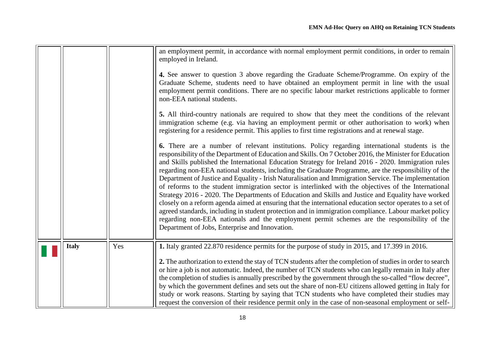<span id="page-17-0"></span>

|              |     | Graduate Scheme, students need to have obtained an employment permit in line with the usual<br>employment permit conditions. There are no specific labour market restrictions applicable to former                                                                                                                    |
|--------------|-----|-----------------------------------------------------------------------------------------------------------------------------------------------------------------------------------------------------------------------------------------------------------------------------------------------------------------------|
|              |     | non-EEA national students.                                                                                                                                                                                                                                                                                            |
|              |     | 5. All third-country nationals are required to show that they meet the conditions of the relevant<br>immigration scheme (e.g. via having an employment permit or other authorisation to work) when<br>registering for a residence permit. This applies to first time registrations and at renewal stage.              |
|              |     | 6. There are a number of relevant institutions. Policy regarding international students is the<br>responsibility of the Department of Education and Skills. On 7 October 2016, the Minister for Education<br>and Skills published the International Education Strategy for Ireland 2016 - 2020. Immigration rules     |
|              |     | regarding non-EEA national students, including the Graduate Programme, are the responsibility of the<br>Department of Justice and Equality - Irish Naturalisation and Immigration Service. The implementation<br>of reforms to the student immigration sector is interlinked with the objectives of the International |
|              |     | Strategy 2016 - 2020. The Departments of Education and Skills and Justice and Equality have worked<br>closely on a reform agenda aimed at ensuring that the international education sector operates to a set of                                                                                                       |
|              |     | agreed standards, including in student protection and in immigration compliance. Labour market policy<br>regarding non-EEA nationals and the employment permit schemes are the responsibility of the                                                                                                                  |
|              |     | Department of Jobs, Enterprise and Innovation.                                                                                                                                                                                                                                                                        |
| <b>Italy</b> | Yes | 1. Italy granted 22.870 residence permits for the purpose of study in 2015, and 17.399 in 2016.                                                                                                                                                                                                                       |
|              |     | 2. The authorization to extend the stay of TCN students after the completion of studies in order to search<br>or hire a job is not automatic. Indeed, the number of TCN students who can legally remain in Italy after                                                                                                |
|              |     | the completion of studies is annually prescribed by the government through the so-called "flow decree",<br>by which the government defines and sets out the share of non-EU citizens allowed getting in Italy for                                                                                                     |
|              |     | study or work reasons. Starting by saying that TCN students who have completed their studies may<br>request the conversion of their residence permit only in the case of non-seasonal employment or self-                                                                                                             |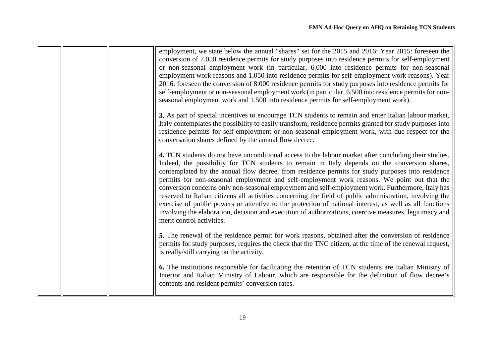|  | employment, we state below the annual "shares" set for the 2015 and 2016: Year 2015: foreseen the<br>conversion of 7.050 residence permits for study purposes into residence permits for self-employment<br>or non-seasonal employment work (in particular, 6.000 into residence permits for non-seasonal<br>employment work reasons and 1.050 into residence permits for self-employment work reasons). Year<br>2016: foreseen the conversion of 8.000 residence permits for study purposes into residence permits for<br>self-employment or non-seasonal employment work (in particular, 6.500 into residence permits for non-<br>seasonal employment work and 1.500 into residence permits for self-employment work).                                                                                                                                                     |
|--|------------------------------------------------------------------------------------------------------------------------------------------------------------------------------------------------------------------------------------------------------------------------------------------------------------------------------------------------------------------------------------------------------------------------------------------------------------------------------------------------------------------------------------------------------------------------------------------------------------------------------------------------------------------------------------------------------------------------------------------------------------------------------------------------------------------------------------------------------------------------------|
|  | 3. As part of special incentives to encourage TCN students to remain and enter Italian labour market,<br>Italy contemplates the possibility to easily transform, residence permits granted for study purposes into<br>residence permits for self-employment or non-seasonal employment work, with due respect for the<br>conversation shares defined by the annual flow decree.                                                                                                                                                                                                                                                                                                                                                                                                                                                                                              |
|  | 4. TCN students do not have unconditional access to the labour market after concluding their studies.<br>Indeed, the possibility for TCN students to remain in Italy depends on the conversion shares,<br>contemplated by the annual flow decree, from residence permits for study purposes into residence<br>permits for non-seasonal employment and self-employment work reasons. We point out that the<br>conversion concerns only non-seasonal employment and self-employment work. Furthermore, Italy has<br>reserved to Italian citizens all activities concerning the field of public administration, involving the<br>exercise of public powers or attentive to the protection of national interest, as well as all functions<br>involving the elaboration, decision and execution of authorizations, coercive measures, legitimacy and<br>merit control activities. |
|  | 5. The renewal of the residence permit for work reasons, obtained after the conversion of residence<br>permits for study purposes, requires the check that the TNC citizen, at the time of the renewal request,<br>is really/still carrying on the activity.                                                                                                                                                                                                                                                                                                                                                                                                                                                                                                                                                                                                                 |
|  | 6. The institutions responsible for facilitating the retention of TCN students are Italian Ministry of<br>Interior and Italian Ministry of Labour, which are responsible for the definition of flow decree's<br>contents and resident permits' conversion rates.                                                                                                                                                                                                                                                                                                                                                                                                                                                                                                                                                                                                             |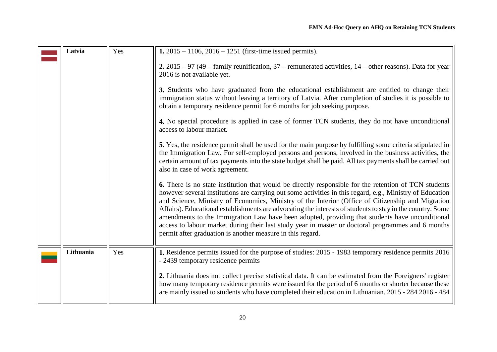<span id="page-19-1"></span><span id="page-19-0"></span>

| Latvia    | Yes                                                                                                                                      | 1. $2015 - 1106$ , $2016 - 1251$ (first-time issued permits).                                                                                                                                                                                                                                                                                                                                                                                                                                                                                                                                                                                                                                                |  |  |
|-----------|------------------------------------------------------------------------------------------------------------------------------------------|--------------------------------------------------------------------------------------------------------------------------------------------------------------------------------------------------------------------------------------------------------------------------------------------------------------------------------------------------------------------------------------------------------------------------------------------------------------------------------------------------------------------------------------------------------------------------------------------------------------------------------------------------------------------------------------------------------------|--|--|
|           | 2. $2015 - 97$ (49 – family reunification, 37 – remunerated activities, 14 – other reasons). Data for year<br>2016 is not available yet. |                                                                                                                                                                                                                                                                                                                                                                                                                                                                                                                                                                                                                                                                                                              |  |  |
|           |                                                                                                                                          | 3. Students who have graduated from the educational establishment are entitled to change their<br>immigration status without leaving a territory of Latvia. After completion of studies it is possible to<br>obtain a temporary residence permit for 6 months for job seeking purpose.                                                                                                                                                                                                                                                                                                                                                                                                                       |  |  |
|           |                                                                                                                                          | 4. No special procedure is applied in case of former TCN students, they do not have unconditional<br>access to labour market.                                                                                                                                                                                                                                                                                                                                                                                                                                                                                                                                                                                |  |  |
|           |                                                                                                                                          | 5. Yes, the residence permit shall be used for the main purpose by fulfilling some criteria stipulated in<br>the Immigration Law. For self-employed persons and persons, involved in the business activities, the<br>certain amount of tax payments into the state budget shall be paid. All tax payments shall be carried out<br>also in case of work agreement.                                                                                                                                                                                                                                                                                                                                            |  |  |
|           |                                                                                                                                          | 6. There is no state institution that would be directly responsible for the retention of TCN students<br>however several institutions are carrying out some activities in this regard, e.g., Ministry of Education<br>and Science, Ministry of Economics, Ministry of the Interior (Office of Citizenship and Migration<br>Affairs). Educational establishments are advocating the interests of students to stay in the country. Some<br>amendments to the Immigration Law have been adopted, providing that students have unconditional<br>access to labour market during their last study year in master or doctoral programmes and 6 months<br>permit after graduation is another measure in this regard. |  |  |
| Lithuania | Yes                                                                                                                                      | 1. Residence permits issued for the purpose of studies: 2015 - 1983 temporary residence permits 2016<br>- 2439 temporary residence permits                                                                                                                                                                                                                                                                                                                                                                                                                                                                                                                                                                   |  |  |
|           |                                                                                                                                          | 2. Lithuania does not collect precise statistical data. It can be estimated from the Foreigners' register<br>how many temporary residence permits were issued for the period of 6 months or shorter because these<br>are mainly issued to students who have completed their education in Lithuanian. 2015 - 284 2016 - 484                                                                                                                                                                                                                                                                                                                                                                                   |  |  |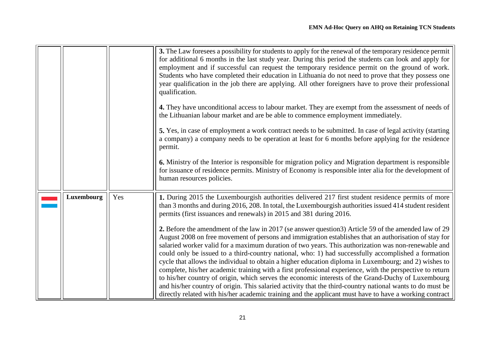<span id="page-20-0"></span>

|            |     | 3. The Law foresees a possibility for students to apply for the renewal of the temporary residence permit<br>for additional 6 months in the last study year. During this period the students can look and apply for<br>employment and if successful can request the temporary residence permit on the ground of work.<br>Students who have completed their education in Lithuania do not need to prove that they possess one<br>year qualification in the job there are applying. All other foreigners have to prove their professional<br>qualification.                                                                                                                                                                                              |
|------------|-----|--------------------------------------------------------------------------------------------------------------------------------------------------------------------------------------------------------------------------------------------------------------------------------------------------------------------------------------------------------------------------------------------------------------------------------------------------------------------------------------------------------------------------------------------------------------------------------------------------------------------------------------------------------------------------------------------------------------------------------------------------------|
|            |     | 4. They have unconditional access to labour market. They are exempt from the assessment of needs of<br>the Lithuanian labour market and are be able to commence employment immediately.                                                                                                                                                                                                                                                                                                                                                                                                                                                                                                                                                                |
|            |     | 5. Yes, in case of employment a work contract needs to be submitted. In case of legal activity (starting<br>a company) a company needs to be operation at least for 6 months before applying for the residence<br>permit.                                                                                                                                                                                                                                                                                                                                                                                                                                                                                                                              |
|            |     | 6. Ministry of the Interior is responsible for migration policy and Migration department is responsible<br>for issuance of residence permits. Ministry of Economy is responsible inter alia for the development of<br>human resources policies.                                                                                                                                                                                                                                                                                                                                                                                                                                                                                                        |
| Luxembourg | Yes | 1. During 2015 the Luxembourgish authorities delivered 217 first student residence permits of more<br>than 3 months and during 2016, 208. In total, the Luxembourgish authorities issued 414 student resident<br>permits (first issuances and renewals) in 2015 and 381 during 2016.                                                                                                                                                                                                                                                                                                                                                                                                                                                                   |
|            |     | 2. Before the amendment of the law in 2017 (se answer question3) Article 59 of the amended law of 29<br>August 2008 on free movement of persons and immigration establishes that an authorisation of stay for<br>salaried worker valid for a maximum duration of two years. This authorization was non-renewable and<br>could only be issued to a third-country national, who: 1) had successfully accomplished a formation<br>cycle that allows the individual to obtain a higher education diploma in Luxembourg; and 2) wishes to<br>complete, his/her academic training with a first professional experience, with the perspective to return<br>to his/her country of origin, which serves the economic interests of the Grand-Duchy of Luxembourg |
|            |     | and his/her country of origin. This salaried activity that the third-country national wants to do must be<br>directly related with his/her academic training and the applicant must have to have a working contract                                                                                                                                                                                                                                                                                                                                                                                                                                                                                                                                    |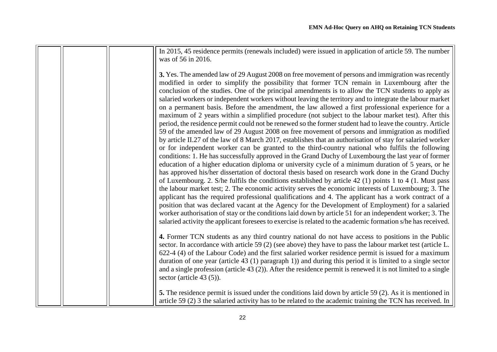|  | In 2015, 45 residence permits (renewals included) were issued in application of article 59. The number<br>was of 56 in 2016.                                                                                                                                                                                                                                                                                                                                                                                                                                                                                                                                                                                                                                                                                                                                                                                                                                                                                                                                                                                                                                                                                                                                                                                                                                                                                                                                                                                                                                                                                                                                                                                                                                                                                                                                                                                                                                                                                                                             |
|--|----------------------------------------------------------------------------------------------------------------------------------------------------------------------------------------------------------------------------------------------------------------------------------------------------------------------------------------------------------------------------------------------------------------------------------------------------------------------------------------------------------------------------------------------------------------------------------------------------------------------------------------------------------------------------------------------------------------------------------------------------------------------------------------------------------------------------------------------------------------------------------------------------------------------------------------------------------------------------------------------------------------------------------------------------------------------------------------------------------------------------------------------------------------------------------------------------------------------------------------------------------------------------------------------------------------------------------------------------------------------------------------------------------------------------------------------------------------------------------------------------------------------------------------------------------------------------------------------------------------------------------------------------------------------------------------------------------------------------------------------------------------------------------------------------------------------------------------------------------------------------------------------------------------------------------------------------------------------------------------------------------------------------------------------------------|
|  | 3. Yes. The amended law of 29 August 2008 on free movement of persons and immigration was recently<br>modified in order to simplify the possibility that former TCN remain in Luxembourg after the<br>conclusion of the studies. One of the principal amendments is to allow the TCN students to apply as<br>salaried workers or independent workers without leaving the territory and to integrate the labour market<br>on a permanent basis. Before the amendment, the law allowed a first professional experience for a<br>maximum of 2 years within a simplified procedure (not subject to the labour market test). After this<br>period, the residence permit could not be renewed so the former student had to leave the country. Article<br>59 of the amended law of 29 August 2008 on free movement of persons and immigration as modified<br>by article II.27 of the law of 8 March 2017, establishes that an authorisation of stay for salaried worker<br>or for independent worker can be granted to the third-country national who fulfils the following<br>conditions: 1. He has successfully approved in the Grand Duchy of Luxembourg the last year of former<br>education of a higher education diploma or university cycle of a minimum duration of 5 years, or he<br>has approved his/her dissertation of doctoral thesis based on research work done in the Grand Duchy<br>of Luxembourg. 2. S/he fulfils the conditions established by article $42$ (1) points 1 to 4 (1. Must pass<br>the labour market test; 2. The economic activity serves the economic interests of Luxembourg; 3. The<br>applicant has the required professional qualifications and 4. The applicant has a work contract of a<br>position that was declared vacant at the Agency for the Development of Employment) for a salaried<br>worker authorisation of stay or the conditions laid down by article 51 for an independent worker; 3. The<br>salaried activity the applicant foresees to exercise is related to the academic formation s/he has received. |
|  | 4. Former TCN students as any third country national do not have access to positions in the Public<br>sector. In accordance with article 59 (2) (see above) they have to pass the labour market test (article L.<br>622-4 (4) of the Labour Code) and the first salaried worker residence permit is issued for a maximum<br>duration of one year (article 43 (1) paragraph 1)) and during this period it is limited to a single sector<br>and a single profession (article $43(2)$ ). After the residence permit is renewed it is not limited to a single<br>sector (article $43(5)$ ).<br>5. The residence permit is issued under the conditions laid down by article 59 (2). As it is mentioned in<br>article 59 (2) 3 the salaried activity has to be related to the academic training the TCN has received. In                                                                                                                                                                                                                                                                                                                                                                                                                                                                                                                                                                                                                                                                                                                                                                                                                                                                                                                                                                                                                                                                                                                                                                                                                                       |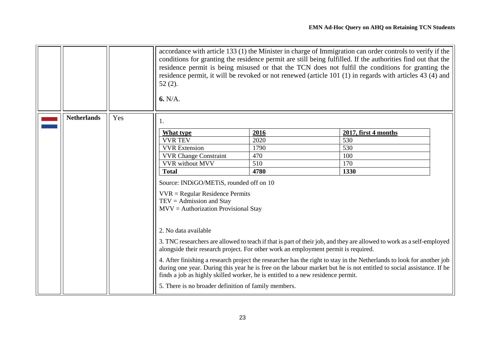<span id="page-22-0"></span>

|                    |     | $52(2)$ .<br>6. N/A.                                                                                                                                        |                                                                                    | accordance with article 133 (1) the Minister in charge of Immigration can order controls to verify if the<br>conditions for granting the residence permit are still being fulfilled. If the authorities find out that the<br>residence permit is being misused or that the TCN does not fulfil the conditions for granting the<br>residence permit, it will be revoked or not renewed (article 101 (1) in regards with articles 43 (4) and |
|--------------------|-----|-------------------------------------------------------------------------------------------------------------------------------------------------------------|------------------------------------------------------------------------------------|--------------------------------------------------------------------------------------------------------------------------------------------------------------------------------------------------------------------------------------------------------------------------------------------------------------------------------------------------------------------------------------------------------------------------------------------|
| <b>Netherlands</b> | Yes |                                                                                                                                                             |                                                                                    |                                                                                                                                                                                                                                                                                                                                                                                                                                            |
|                    |     | What type                                                                                                                                                   | 2016                                                                               | 2017, first 4 months                                                                                                                                                                                                                                                                                                                                                                                                                       |
|                    |     | <b>VVR TEV</b>                                                                                                                                              | 2020                                                                               | 530                                                                                                                                                                                                                                                                                                                                                                                                                                        |
|                    |     | <b>VVR</b> Extension                                                                                                                                        | 1790                                                                               | 530                                                                                                                                                                                                                                                                                                                                                                                                                                        |
|                    |     | <b>VVR Change Constraint</b>                                                                                                                                | 470                                                                                | 100                                                                                                                                                                                                                                                                                                                                                                                                                                        |
|                    |     | <b>VVR</b> without MVV                                                                                                                                      | 510                                                                                | 170                                                                                                                                                                                                                                                                                                                                                                                                                                        |
|                    |     | <b>Total</b>                                                                                                                                                | 4780                                                                               | 1330                                                                                                                                                                                                                                                                                                                                                                                                                                       |
|                    |     | Source: INDiGO/METiS, rounded off on 10<br>$VVR = Regular Residence \text{Permits}$<br>$TEV =$ Admission and Stay<br>$MVV =$ Authorization Provisional Stay |                                                                                    |                                                                                                                                                                                                                                                                                                                                                                                                                                            |
|                    |     | 2. No data available                                                                                                                                        |                                                                                    |                                                                                                                                                                                                                                                                                                                                                                                                                                            |
|                    |     |                                                                                                                                                             | alongside their research project. For other work an employment permit is required. | 3. TNC researchers are allowed to teach if that is part of their job, and they are allowed to work as a self-employed                                                                                                                                                                                                                                                                                                                      |
|                    |     |                                                                                                                                                             | finds a job as highly skilled worker, he is entitled to a new residence permit.    | 4. After finishing a research project the researcher has the right to stay in the Netherlands to look for another job<br>during one year. During this year he is free on the labour market but he is not entitled to social assistance. If he                                                                                                                                                                                              |
|                    |     | 5. There is no broader definition of family members.                                                                                                        |                                                                                    |                                                                                                                                                                                                                                                                                                                                                                                                                                            |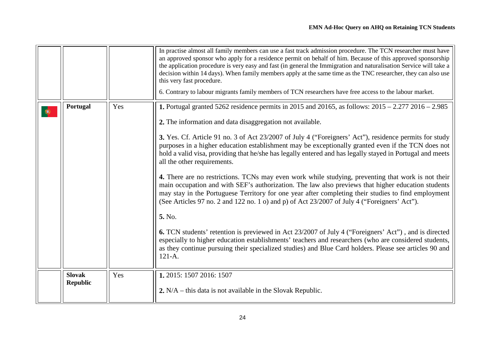<span id="page-23-1"></span><span id="page-23-0"></span>

|           |                                  |     | In practise almost all family members can use a fast track admission procedure. The TCN researcher must have<br>an approved sponsor who apply for a residence permit on behalf of him. Because of this approved sponsorship<br>the application procedure is very easy and fast (in general the Immigration and naturalisation Service will take a<br>decision within 14 days). When family members apply at the same time as the TNC researcher, they can also use<br>this very fast procedure.<br>6. Contrary to labour migrants family members of TCN researchers have free access to the labour market.                                                                                                                                                                                                                                                                                                                                                                                                                                                                                                                                                                                                                                                                                                          |
|-----------|----------------------------------|-----|---------------------------------------------------------------------------------------------------------------------------------------------------------------------------------------------------------------------------------------------------------------------------------------------------------------------------------------------------------------------------------------------------------------------------------------------------------------------------------------------------------------------------------------------------------------------------------------------------------------------------------------------------------------------------------------------------------------------------------------------------------------------------------------------------------------------------------------------------------------------------------------------------------------------------------------------------------------------------------------------------------------------------------------------------------------------------------------------------------------------------------------------------------------------------------------------------------------------------------------------------------------------------------------------------------------------|
| $\bullet$ | Portugal                         | Yes | <b>1.</b> Portugal granted 5262 residence permits in 2015 and 20165, as follows: $2015 - 2.277$ 2016 - 2.985<br>2. The information and data disaggregation not available.<br>3. Yes. Cf. Article 91 no. 3 of Act 23/2007 of July 4 ("Foreigners' Act"), residence permits for study<br>purposes in a higher education establishment may be exceptionally granted even if the TCN does not<br>hold a valid visa, providing that he/she has legally entered and has legally stayed in Portugal and meets<br>all the other requirements.<br>4. There are no restrictions. TCNs may even work while studying, preventing that work is not their<br>main occupation and with SEF's authorization. The law also previews that higher education students<br>may stay in the Portuguese Territory for one year after completing their studies to find employment<br>(See Articles 97 no. 2 and 122 no. 1 o) and p) of Act 23/2007 of July 4 ("Foreigners' Act").<br>5. No.<br><b>6.</b> TCN students' retention is previewed in Act 23/2007 of July 4 ("Foreigners' Act"), and is directed<br>especially to higher education establishments' teachers and researchers (who are considered students,<br>as they continue pursuing their specialized studies) and Blue Card holders. Please see articles 90 and<br>$121 - A.$ |
|           | <b>Slovak</b><br><b>Republic</b> | Yes | 1. 2015: 1507 2016: 1507<br>2. $N/A$ – this data is not available in the Slovak Republic.                                                                                                                                                                                                                                                                                                                                                                                                                                                                                                                                                                                                                                                                                                                                                                                                                                                                                                                                                                                                                                                                                                                                                                                                                           |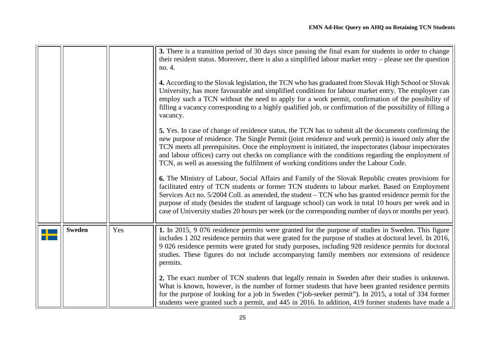<span id="page-24-0"></span>

|               |     | 3. There is a transition period of 30 days since passing the final exam for students in order to change<br>their resident status. Moreover, there is also a simplified labour market entry - please see the question<br>no. 4.                                                                                                                                                                                                                                                                                                 |
|---------------|-----|--------------------------------------------------------------------------------------------------------------------------------------------------------------------------------------------------------------------------------------------------------------------------------------------------------------------------------------------------------------------------------------------------------------------------------------------------------------------------------------------------------------------------------|
|               |     | 4. According to the Slovak legislation, the TCN who has graduated from Slovak High School or Slovak<br>University, has more favourable and simplified conditions for labour market entry. The employer can<br>employ such a TCN without the need to apply for a work permit, confirmation of the possibility of<br>filling a vacancy corresponding to a highly qualified job, or confirmation of the possibility of filling a<br>vacancy.                                                                                      |
|               |     | 5. Yes. In case of change of residence status, the TCN has to submit all the documents confirming the<br>new purpose of residence. The Single Permit (joint residence and work permit) is issued only after the<br>TCN meets all prerequisites. Once the employment is initiated, the inspectorates (labour inspectorates<br>and labour offices) carry out checks on compliance with the conditions regarding the employment of<br>TCN, as well as assessing the fulfilment of working conditions under the Labour Code.       |
|               |     | 6. The Ministry of Labour, Social Affairs and Family of the Slovak Republic creates provisions for<br>facilitated entry of TCN students or former TCN students to labour market. Based on Employment<br>Services Act no. 5/2004 Coll. as amended, the student – TCN who has granted residence permit for the<br>purpose of study (besides the student of language school) can work in total 10 hours per week and in<br>case of University studies 20 hours per week (or the corresponding number of days or months per year). |
| <b>Sweden</b> | Yes | 1. In 2015, 9 076 residence permits were granted for the purpose of studies in Sweden. This figure<br>includes 1 202 residence permits that were grated for the purpose of studies at doctoral level. In 2016,<br>9 026 residence permits were grated for study purposes, including 928 residence permits for doctoral<br>studies. These figures do not include accompanying family members nor extensions of residence<br>permits.                                                                                            |
|               |     | 2. The exact number of TCN students that legally remain in Sweden after their studies is unknown.<br>What is known, however, is the number of former students that have been granted residence permits<br>for the purpose of looking for a job in Sweden ("job-seeker permit"). In 2015, a total of 334 former<br>students were granted such a permit, and 445 in 2016. In addition, 419 former students have made a                                                                                                           |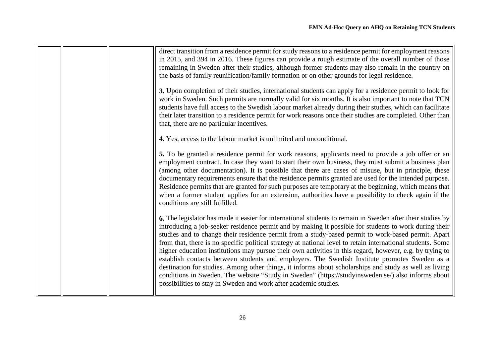|  | direct transition from a residence permit for study reasons to a residence permit for employment reasons<br>in 2015, and 394 in 2016. These figures can provide a rough estimate of the overall number of those<br>remaining in Sweden after their studies, although former students may also remain in the country on<br>the basis of family reunification/family formation or on other grounds for legal residence.<br>3. Upon completion of their studies, international students can apply for a residence permit to look for<br>work in Sweden. Such permits are normally valid for six months. It is also important to note that TCN<br>students have full access to the Swedish labour market already during their studies, which can facilitate<br>their later transition to a residence permit for work reasons once their studies are completed. Other than                                                                            |
|--|--------------------------------------------------------------------------------------------------------------------------------------------------------------------------------------------------------------------------------------------------------------------------------------------------------------------------------------------------------------------------------------------------------------------------------------------------------------------------------------------------------------------------------------------------------------------------------------------------------------------------------------------------------------------------------------------------------------------------------------------------------------------------------------------------------------------------------------------------------------------------------------------------------------------------------------------------|
|  | that, there are no particular incentives.<br>4. Yes, access to the labour market is unlimited and unconditional.                                                                                                                                                                                                                                                                                                                                                                                                                                                                                                                                                                                                                                                                                                                                                                                                                                 |
|  | 5. To be granted a residence permit for work reasons, applicants need to provide a job offer or an<br>employment contract. In case they want to start their own business, they must submit a business plan<br>(among other documentation). It is possible that there are cases of misuse, but in principle, these<br>documentary requirements ensure that the residence permits granted are used for the intended purpose.<br>Residence permits that are granted for such purposes are temporary at the beginning, which means that<br>when a former student applies for an extension, authorities have a possibility to check again if the<br>conditions are still fulfilled.                                                                                                                                                                                                                                                                   |
|  | <b>6.</b> The legislator has made it easier for international students to remain in Sweden after their studies by<br>introducing a job-seeker residence permit and by making it possible for students to work during their<br>studies and to change their residence permit from a study-based permit to work-based permit. Apart<br>from that, there is no specific political strategy at national level to retain international students. Some<br>higher education institutions may pursue their own activities in this regard, however, e.g. by trying to<br>establish contacts between students and employers. The Swedish Institute promotes Sweden as a<br>destination for studies. Among other things, it informs about scholarships and study as well as living<br>conditions in Sweden. The website "Study in Sweden" (https://studyinsweden.se/) also informs about<br>possibilities to stay in Sweden and work after academic studies. |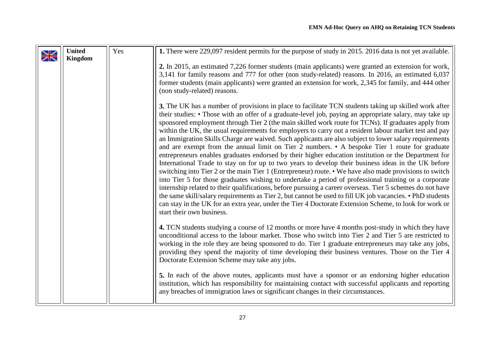<span id="page-26-0"></span>

| $\frac{\Delta Z}{\Delta}$ | <b>United</b><br><b>Kingdom</b> | Yes | 1. There were 229,097 resident permits for the purpose of study in 2015. 2016 data is not yet available.                                                                                                                                                                                                                                                                                                                                                                                                                                                                                                                                                                                                                                                                                                                                                                                                                                                                                                                                                                                                                                                                                                                                                                                                                                                                                                                                         |
|---------------------------|---------------------------------|-----|--------------------------------------------------------------------------------------------------------------------------------------------------------------------------------------------------------------------------------------------------------------------------------------------------------------------------------------------------------------------------------------------------------------------------------------------------------------------------------------------------------------------------------------------------------------------------------------------------------------------------------------------------------------------------------------------------------------------------------------------------------------------------------------------------------------------------------------------------------------------------------------------------------------------------------------------------------------------------------------------------------------------------------------------------------------------------------------------------------------------------------------------------------------------------------------------------------------------------------------------------------------------------------------------------------------------------------------------------------------------------------------------------------------------------------------------------|
|                           |                                 |     | 2. In 2015, an estimated 7,226 former students (main applicants) were granted an extension for work,<br>3,141 for family reasons and 777 for other (non study-related) reasons. In 2016, an estimated 6,037<br>former students (main applicants) were granted an extension for work, 2,345 for family, and 444 other<br>(non study-related) reasons.                                                                                                                                                                                                                                                                                                                                                                                                                                                                                                                                                                                                                                                                                                                                                                                                                                                                                                                                                                                                                                                                                             |
|                           |                                 |     | 3. The UK has a number of provisions in place to facilitate TCN students taking up skilled work after<br>their studies: • Those with an offer of a graduate-level job, paying an appropriate salary, may take up<br>sponsored employment through Tier 2 (the main skilled work route for TCNs). If graduates apply from<br>within the UK, the usual requirements for employers to carry out a resident labour market test and pay<br>an Immigration Skills Charge are waived. Such applicants are also subject to lower salary requirements<br>and are exempt from the annual limit on Tier 2 numbers. • A bespoke Tier 1 route for graduate<br>entrepreneurs enables graduates endorsed by their higher education institution or the Department for<br>International Trade to stay on for up to two years to develop their business ideas in the UK before<br>switching into Tier 2 or the main Tier 1 (Entrepreneur) route. • We have also made provisions to switch<br>into Tier 5 for those graduates wishing to undertake a period of professional training or a corporate<br>internship related to their qualifications, before pursuing a career overseas. Tier 5 schemes do not have<br>the same skill/salary requirements as Tier 2, but cannot be used to fill UK job vacancies. • PhD students<br>can stay in the UK for an extra year, under the Tier 4 Doctorate Extension Scheme, to look for work or<br>start their own business. |
|                           |                                 |     | 4. TCN students studying a course of 12 months or more have 4 months post-study in which they have<br>unconditional access to the labour market. Those who switch into Tier 2 and Tier 5 are restricted to<br>working in the role they are being sponsored to do. Tier 1 graduate entrepreneurs may take any jobs,<br>providing they spend the majority of time developing their business ventures. Those on the Tier 4<br>Doctorate Extension Scheme may take any jobs.                                                                                                                                                                                                                                                                                                                                                                                                                                                                                                                                                                                                                                                                                                                                                                                                                                                                                                                                                                         |
|                           |                                 |     | 5. In each of the above routes, applicants must have a sponsor or an endorsing higher education<br>institution, which has responsibility for maintaining contact with successful applicants and reporting<br>any breaches of immigration laws or significant changes in their circumstances.                                                                                                                                                                                                                                                                                                                                                                                                                                                                                                                                                                                                                                                                                                                                                                                                                                                                                                                                                                                                                                                                                                                                                     |